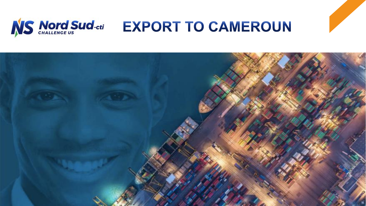

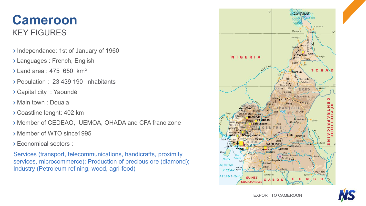### KEY FIGURES **Cameroon**

- Independance: 1st of January of 1960
- Languages : French, English
- $\blacktriangleright$  Land area : 475 650 km<sup>2</sup>
- Population : 23 439 190 inhabitants
- Capital city : Yaoundé
- Main town : Douala
- Coastline lenght: 402 km
- Member of CEDEAO, UEMOA, OHADA and CFA franc zone
- Member of WTO since1995
- Economical sectors :

Services (transport, telecommunications, handicrafts, proximity services, microcommerce); Production of precious ore (diamond); Industry (Petroleum refining, wood, agri-food)





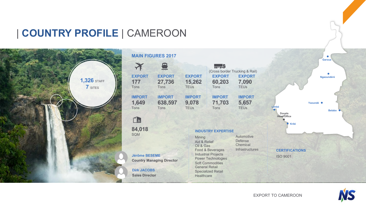### | **COUNTRY PROFILE** | CAMEROON



|  | <b>MAIN FIGURES 2017</b>                                                                                                              |                                  |                                                                                                                          |                                 |                                                             |  |
|--|---------------------------------------------------------------------------------------------------------------------------------------|----------------------------------|--------------------------------------------------------------------------------------------------------------------------|---------------------------------|-------------------------------------------------------------|--|
|  |                                                                                                                                       | 昼                                |                                                                                                                          |                                 | (Cross border Trucking & Rail)                              |  |
|  | <b>EXPORT</b><br>177<br>Tons                                                                                                          | <b>EXPORT</b><br>27,736<br>Tons  | <b>EXPORT</b><br>15,262<br><b>TEU<sub>s</sub></b>                                                                        | <b>EXPORT</b><br>60,203<br>Tons | <b>EXPORT</b><br>7,090<br><b>TEU<sub>s</sub></b>            |  |
|  | <b>IMPORT</b><br>1,649<br>Tons                                                                                                        | <b>IMPORT</b><br>638,597<br>Tons | <b>IMPORT</b><br>9,078<br><b>TEU<sub>s</sub></b>                                                                         | <b>IMPORT</b><br>71,703<br>Tons | <b>IMPORT</b><br>5,657<br><b>TEUs</b>                       |  |
|  | 11<br>84,018<br><b>SOM</b><br><b>Jérôme BESEME</b><br><b>Country Managing Director</b><br><b>Dirk JACOBS</b><br><b>Sales Director</b> |                                  | <b>INDUSTRY EXPERTISE</b>                                                                                                |                                 |                                                             |  |
|  |                                                                                                                                       |                                  | Mining<br>Aid & Relief<br>Oil & Gas<br>Food & Beverages<br><b>Industrial Projects</b>                                    |                                 | Automotive<br><b>Defense</b><br>Chemical<br>Infrastructures |  |
|  |                                                                                                                                       |                                  | <b>Power Technologies</b><br><b>Soft Commodities</b><br><b>General Retail</b><br><b>Specialized Retail</b><br>Healthcare |                                 |                                                             |  |
|  |                                                                                                                                       |                                  |                                                                                                                          |                                 |                                                             |  |



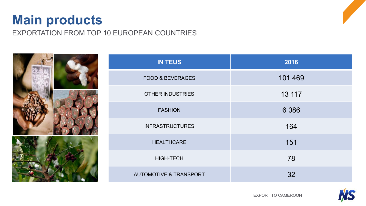## **Main products**

EXPORTATION FROM TOP 10 EUROPEAN COUNTRIES





EXPORT TO CAMEROON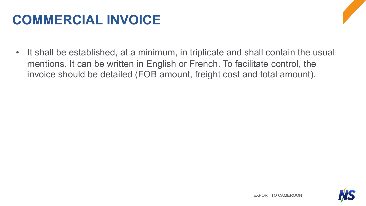# **COMMERCIAL INVOICE**

• It shall be established, at a minimum, in triplicate and shall contain the usual mentions. It can be written in English or French. To facilitate control, the invoice should be detailed (FOB amount, freight cost and total amount).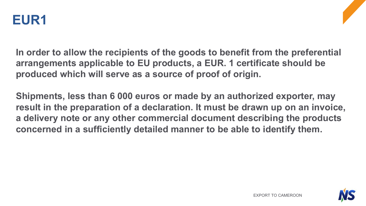

**In order to allow the recipients of the goods to benefit from the preferential arrangements applicable to EU products, a EUR. 1 certificate should be produced which will serve as a source of proof of origin.** 

**Shipments, less than 6 000 euros or made by an authorized exporter, may result in the preparation of a declaration. It must be drawn up on an invoice, a delivery note or any other commercial document describing the products concerned in a sufficiently detailed manner to be able to identify them.**

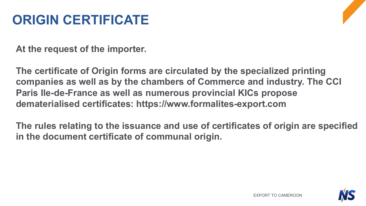# **ORIGIN CERTIFICATE**

**At the request of the importer.**

**The certificate of Origin forms are circulated by the specialized printing companies as well as by the chambers of Commerce and industry. The CCI Paris Ile-de-France as well as numerous provincial KICs propose dematerialised certificates: https://www.formalites-export.com**

**The rules relating to the issuance and use of certificates of origin are specified in the document certificate of communal origin.**

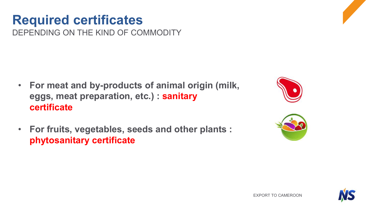DEPENDING ON THE KIND OF COMMODITY

- **For meat and by-products of animal origin (milk, eggs, meat preparation, etc.) : sanitary certificate**
- **For fruits, vegetables, seeds and other plants : phytosanitary certificate**





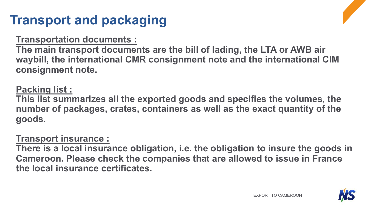# **Transport and packaging**

### **Transportation documents :**

**The main transport documents are the bill of lading, the LTA or AWB air waybill, the international CMR consignment note and the international CIM consignment note.**

### **Packing list :**

**This list summarizes all the exported goods and specifies the volumes, the number of packages, crates, containers as well as the exact quantity of the goods.** 

### **Transport insurance :**

**There is a local insurance obligation, i.e. the obligation to insure the goods in Cameroon. Please check the companies that are allowed to issue in France the local insurance certificates.**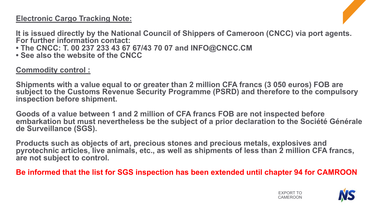#### **Electronic Cargo Tracking Note:**

**It is issued directly by the National Council of Shippers of Cameroon (CNCC) via port agents. For further information contact:**

- **The CNCC: T. 00 237 233 43 67 67/43 70 07 and INFO@CNCC.CM**
- **See also the website of the CNCC**

#### **Commodity control :**

**Shipments with a value equal to or greater than 2 million CFA francs (3 050 euros) FOB are subject to the Customs Revenue Security Programme (PSRD) and therefore to the compulsory inspection before shipment.**

**Goods of a value between 1 and 2 million of CFA francs FOB are not inspected before embarkation but must nevertheless be the subject of a prior declaration to the Société Générale de Surveillance (SGS).**

**Products such as objects of art, precious stones and precious metals, explosives and pyrotechnic articles, live animals, etc., as well as shipments of less than 2 million CFA francs, are not subject to control.**

**Be informed that the list for SGS inspection has been extended until chapter 94 for CAMROON**



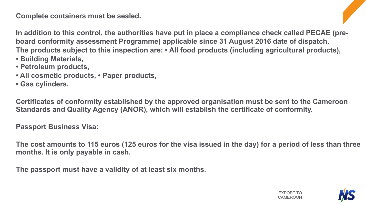**Complete containers must be sealed.**

**In addition to this control, the authorities have put in place a compliance check called PECAE (preboard conformity assessment Programme) applicable since 31 August 2016 date of dispatch. The products subject to this inspection are: • All food products (including agricultural products),**

- **Building Materials,**
- **Petroleum products,**
- **All cosmetic products, Paper products,**
- **Gas cylinders.**

**Certificates of conformity established by the approved organisation must be sent to the Cameroon Standards and Quality Agency (ANOR), which will establish the certificate of conformity.**

#### **Passport Business Visa:**

**The cost amounts to 115 euros (125 euros for the visa issued in the day) for a period of less than three months. It is only payable in cash.**

**The passport must have a validity of at least six months.**

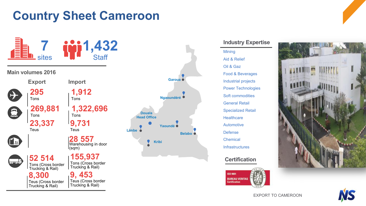### **Country Sheet Cameroon**











EXPORT TO CAMEROON